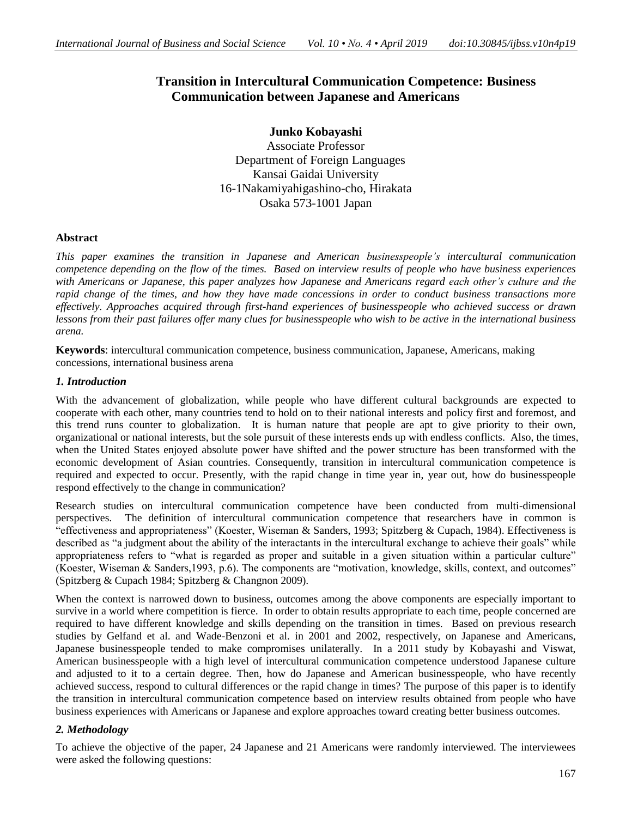# **Transition in Intercultural Communication Competence: Business Communication between Japanese and Americans**

**Junko Kobayashi** Associate Professor Department of Foreign Languages Kansai Gaidai University 16-1Nakamiyahigashino-cho, Hirakata Osaka 573-1001 Japan

# **Abstract**

*This paper examines the transition in Japanese and American businesspeople's intercultural communication competence depending on the flow of the times. Based on interview results of people who have business experiences with Americans or Japanese, this paper analyzes how Japanese and Americans regard each other's culture and the rapid change of the times, and how they have made concessions in order to conduct business transactions more effectively. Approaches acquired through first-hand experiences of businesspeople who achieved success or drawn lessons from their past failures offer many clues for businesspeople who wish to be active in the international business arena.*

**Keywords**: intercultural communication competence, business communication, Japanese, Americans, making concessions, international business arena

## *1. Introduction*

With the advancement of globalization, while people who have different cultural backgrounds are expected to cooperate with each other, many countries tend to hold on to their national interests and policy first and foremost, and this trend runs counter to globalization. It is human nature that people are apt to give priority to their own, organizational or national interests, but the sole pursuit of these interests ends up with endless conflicts. Also, the times, when the United States enjoyed absolute power have shifted and the power structure has been transformed with the economic development of Asian countries. Consequently, transition in intercultural communication competence is required and expected to occur. Presently, with the rapid change in time year in, year out, how do businesspeople respond effectively to the change in communication?

Research studies on intercultural communication competence have been conducted from multi-dimensional perspectives. The definition of intercultural communication competence that researchers have in common is "effectiveness and appropriateness" (Koester, Wiseman & Sanders, 1993; Spitzberg & Cupach, 1984). Effectiveness is described as "a judgment about the ability of the interactants in the intercultural exchange to achieve their goals" while appropriateness refers to "what is regarded as proper and suitable in a given situation within a particular culture" (Koester, Wiseman & Sanders,1993, p.6). The components are "motivation, knowledge, skills, context, and outcomes" (Spitzberg & Cupach 1984; Spitzberg & Changnon 2009).

When the context is narrowed down to business, outcomes among the above components are especially important to survive in a world where competition is fierce. In order to obtain results appropriate to each time, people concerned are required to have different knowledge and skills depending on the transition in times. Based on previous research studies by Gelfand et al. and Wade-Benzoni et al. in 2001 and 2002, respectively, on Japanese and Americans, Japanese businesspeople tended to make compromises unilaterally. In a 2011 study by Kobayashi and Viswat, American businesspeople with a high level of intercultural communication competence understood Japanese culture and adjusted to it to a certain degree. Then, how do Japanese and American businesspeople, who have recently achieved success, respond to cultural differences or the rapid change in times? The purpose of this paper is to identify the transition in intercultural communication competence based on interview results obtained from people who have business experiences with Americans or Japanese and explore approaches toward creating better business outcomes.

# *2. Methodology*

To achieve the objective of the paper, 24 Japanese and 21 Americans were randomly interviewed. The interviewees were asked the following questions: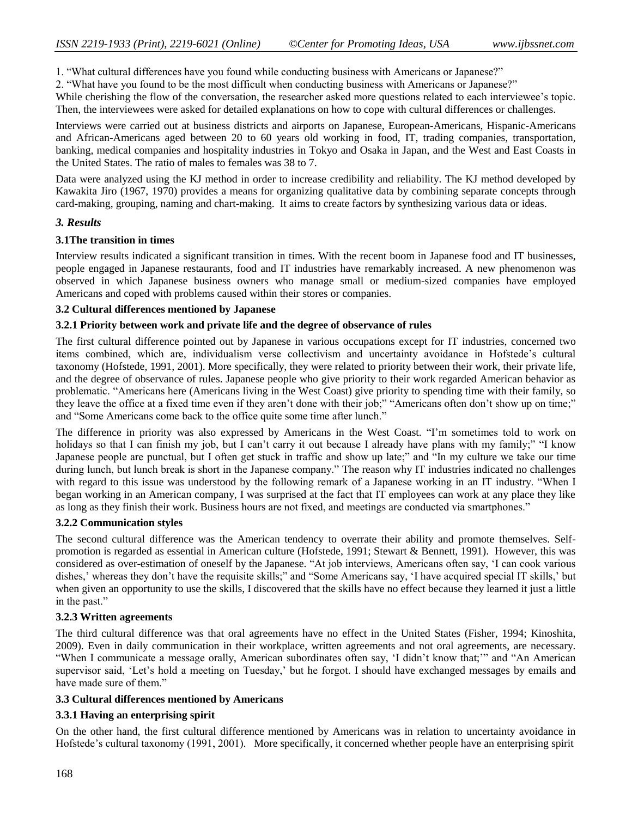1. "What cultural differences have you found while conducting business with Americans or Japanese?"

2. "What have you found to be the most difficult when conducting business with Americans or Japanese?"

While cherishing the flow of the conversation, the researcher asked more questions related to each interviewee's topic. Then, the interviewees were asked for detailed explanations on how to cope with cultural differences or challenges.

Interviews were carried out at business districts and airports on Japanese, European-Americans, Hispanic-Americans and African-Americans aged between 20 to 60 years old working in food, IT, trading companies, transportation, banking, medical companies and hospitality industries in Tokyo and Osaka in Japan, and the West and East Coasts in the United States. The ratio of males to females was 38 to 7.

Data were analyzed using the KJ method in order to increase credibility and reliability. The KJ method developed by Kawakita Jiro (1967, 1970) provides a means for organizing qualitative data by combining separate concepts through card-making, grouping, naming and chart-making. It aims to create factors by synthesizing various data or ideas.

## *3. Results*

## **3.1The transition in times**

Interview results indicated a significant transition in times. With the recent boom in Japanese food and IT businesses, people engaged in Japanese restaurants, food and IT industries have remarkably increased. A new phenomenon was observed in which Japanese business owners who manage small or medium-sized companies have employed Americans and coped with problems caused within their stores or companies.

## **3.2 Cultural differences mentioned by Japanese**

## **3.2.1 Priority between work and private life and the degree of observance of rules**

The first cultural difference pointed out by Japanese in various occupations except for IT industries, concerned two items combined, which are, individualism verse collectivism and uncertainty avoidance in Hofstede's cultural taxonomy (Hofstede, 1991, 2001). More specifically, they were related to priority between their work, their private life, and the degree of observance of rules. Japanese people who give priority to their work regarded American behavior as problematic. "Americans here (Americans living in the West Coast) give priority to spending time with their family, so they leave the office at a fixed time even if they aren't done with their job;" "Americans often don't show up on time;" and "Some Americans come back to the office quite some time after lunch."

The difference in priority was also expressed by Americans in the West Coast. "I'm sometimes told to work on holidays so that I can finish my job, but I can't carry it out because I already have plans with my family;" "I know Japanese people are punctual, but I often get stuck in traffic and show up late;" and "In my culture we take our time during lunch, but lunch break is short in the Japanese company." The reason why IT industries indicated no challenges with regard to this issue was understood by the following remark of a Japanese working in an IT industry. "When I began working in an American company, I was surprised at the fact that IT employees can work at any place they like as long as they finish their work. Business hours are not fixed, and meetings are conducted via smartphones."

#### **3.2.2 Communication styles**

The second cultural difference was the American tendency to overrate their ability and promote themselves. Selfpromotion is regarded as essential in American culture (Hofstede, 1991; Stewart & Bennett, 1991). However, this was considered as over-estimation of oneself by the Japanese. "At job interviews, Americans often say, 'I can cook various dishes,' whereas they don't have the requisite skills;" and "Some Americans say, 'I have acquired special IT skills,' but when given an opportunity to use the skills, I discovered that the skills have no effect because they learned it just a little in the past."

#### **3.2.3 Written agreements**

The third cultural difference was that oral agreements have no effect in the United States (Fisher, 1994; Kinoshita, 2009). Even in daily communication in their workplace, written agreements and not oral agreements, are necessary. "When I communicate a message orally, American subordinates often say, 'I didn't know that;'" and "An American supervisor said, 'Let's hold a meeting on Tuesday,' but he forgot. I should have exchanged messages by emails and have made sure of them."

#### **3.3 Cultural differences mentioned by Americans**

# **3.3.1 Having an enterprising spirit**

On the other hand, the first cultural difference mentioned by Americans was in relation to uncertainty avoidance in Hofstede's cultural taxonomy (1991, 2001). More specifically, it concerned whether people have an enterprising spirit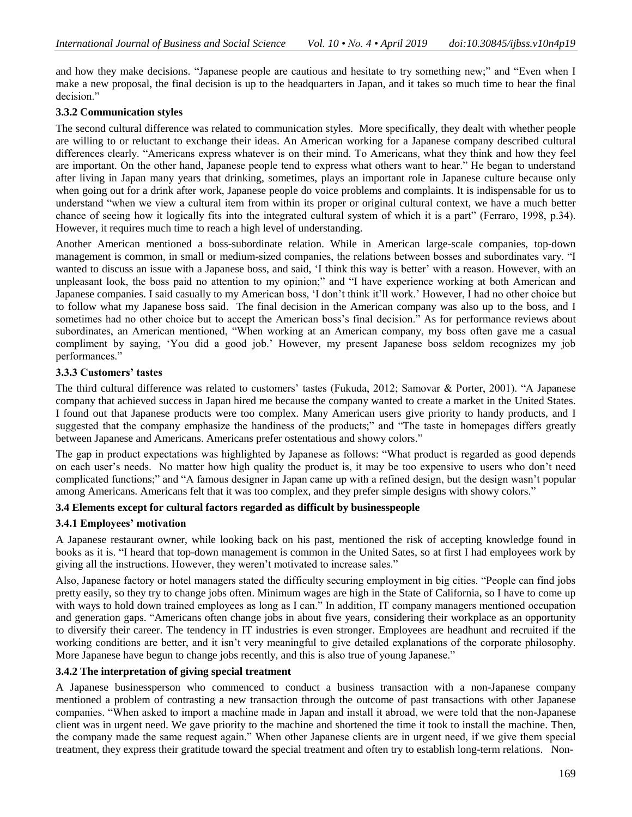and how they make decisions. "Japanese people are cautious and hesitate to try something new;" and "Even when I make a new proposal, the final decision is up to the headquarters in Japan, and it takes so much time to hear the final decision."

## **3.3.2 Communication styles**

The second cultural difference was related to communication styles. More specifically, they dealt with whether people are willing to or reluctant to exchange their ideas. An American working for a Japanese company described cultural differences clearly. "Americans express whatever is on their mind. To Americans, what they think and how they feel are important. On the other hand, Japanese people tend to express what others want to hear." He began to understand after living in Japan many years that drinking, sometimes, plays an important role in Japanese culture because only when going out for a drink after work, Japanese people do voice problems and complaints. It is indispensable for us to understand "when we view a cultural item from within its proper or original cultural context, we have a much better chance of seeing how it logically fits into the integrated cultural system of which it is a part" (Ferraro, 1998, p.34). However, it requires much time to reach a high level of understanding.

Another American mentioned a boss-subordinate relation. While in American large-scale companies, top-down management is common, in small or medium-sized companies, the relations between bosses and subordinates vary. "I wanted to discuss an issue with a Japanese boss, and said, 'I think this way is better' with a reason. However, with an unpleasant look, the boss paid no attention to my opinion;" and "I have experience working at both American and Japanese companies. I said casually to my American boss, 'I don't think it'll work.' However, I had no other choice but to follow what my Japanese boss said. The final decision in the American company was also up to the boss, and I sometimes had no other choice but to accept the American boss's final decision." As for performance reviews about subordinates, an American mentioned, "When working at an American company, my boss often gave me a casual compliment by saying, 'You did a good job.' However, my present Japanese boss seldom recognizes my job performances."

## **3.3.3 Customers' tastes**

The third cultural difference was related to customers' tastes (Fukuda, 2012; Samovar & Porter, 2001). "A Japanese company that achieved success in Japan hired me because the company wanted to create a market in the United States. I found out that Japanese products were too complex. Many American users give priority to handy products, and I suggested that the company emphasize the handiness of the products;" and "The taste in homepages differs greatly between Japanese and Americans. Americans prefer ostentatious and showy colors."

The gap in product expectations was highlighted by Japanese as follows: "What product is regarded as good depends on each user's needs. No matter how high quality the product is, it may be too expensive to users who don't need complicated functions;" and "A famous designer in Japan came up with a refined design, but the design wasn't popular among Americans. Americans felt that it was too complex, and they prefer simple designs with showy colors."

# **3.4 Elements except for cultural factors regarded as difficult by businesspeople**

# **3.4.1 Employees' motivation**

A Japanese restaurant owner, while looking back on his past, mentioned the risk of accepting knowledge found in books as it is. "I heard that top-down management is common in the United Sates, so at first I had employees work by giving all the instructions. However, they weren't motivated to increase sales."

Also, Japanese factory or hotel managers stated the difficulty securing employment in big cities. "People can find jobs pretty easily, so they try to change jobs often. Minimum wages are high in the State of California, so I have to come up with ways to hold down trained employees as long as I can." In addition, IT company managers mentioned occupation and generation gaps. "Americans often change jobs in about five years, considering their workplace as an opportunity to diversify their career. The tendency in IT industries is even stronger. Employees are headhunt and recruited if the working conditions are better, and it isn't very meaningful to give detailed explanations of the corporate philosophy. More Japanese have begun to change jobs recently, and this is also true of young Japanese."

#### **3.4.2 The interpretation of giving special treatment**

A Japanese businessperson who commenced to conduct a business transaction with a non-Japanese company mentioned a problem of contrasting a new transaction through the outcome of past transactions with other Japanese companies. "When asked to import a machine made in Japan and install it abroad, we were told that the non-Japanese client was in urgent need. We gave priority to the machine and shortened the time it took to install the machine. Then, the company made the same request again." When other Japanese clients are in urgent need, if we give them special treatment, they express their gratitude toward the special treatment and often try to establish long-term relations. Non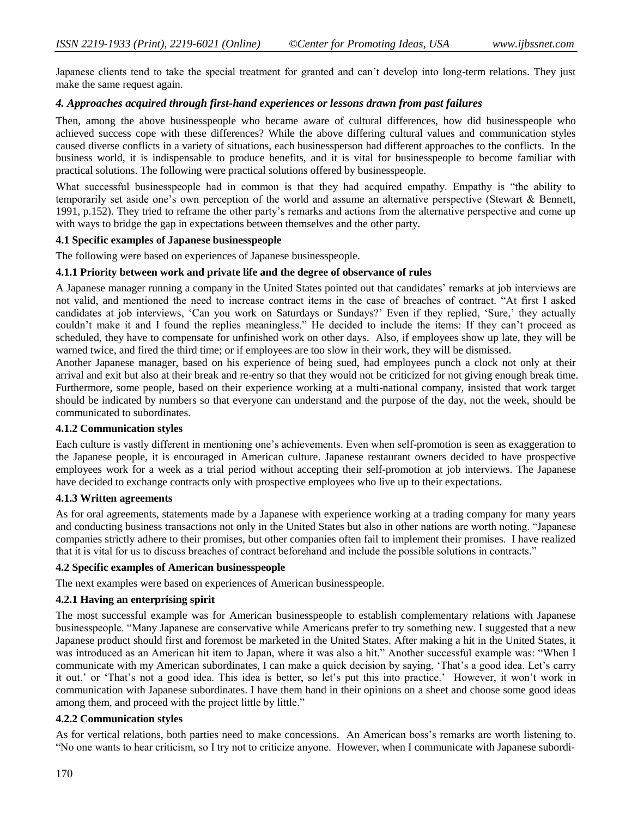Japanese clients tend to take the special treatment for granted and can't develop into long-term relations. They just make the same request again.

# *4. Approaches acquired through first-hand experiences or lessons drawn from past failures*

Then, among the above businesspeople who became aware of cultural differences, how did businesspeople who achieved success cope with these differences? While the above differing cultural values and communication styles caused diverse conflicts in a variety of situations, each businessperson had different approaches to the conflicts. In the business world, it is indispensable to produce benefits, and it is vital for businesspeople to become familiar with practical solutions. The following were practical solutions offered by businesspeople.

What successful businesspeople had in common is that they had acquired empathy. Empathy is "the ability to temporarily set aside one's own perception of the world and assume an alternative perspective (Stewart & Bennett, 1991, p.152). They tried to reframe the other party's remarks and actions from the alternative perspective and come up with ways to bridge the gap in expectations between themselves and the other party.

## **4.1 Specific examples of Japanese businesspeople**

The following were based on experiences of Japanese businesspeople.

# **4.1.1 Priority between work and private life and the degree of observance of rules**

A Japanese manager running a company in the United States pointed out that candidates' remarks at job interviews are not valid, and mentioned the need to increase contract items in the case of breaches of contract. "At first I asked candidates at job interviews, 'Can you work on Saturdays or Sundays?' Even if they replied, 'Sure,' they actually couldn't make it and I found the replies meaningless." He decided to include the items: If they can't proceed as scheduled, they have to compensate for unfinished work on other days. Also, if employees show up late, they will be warned twice, and fired the third time; or if employees are too slow in their work, they will be dismissed.

Another Japanese manager, based on his experience of being sued, had employees punch a clock not only at their arrival and exit but also at their break and re-entry so that they would not be criticized for not giving enough break time. Furthermore, some people, based on their experience working at a multi-national company, insisted that work target should be indicated by numbers so that everyone can understand and the purpose of the day, not the week, should be communicated to subordinates.

# **4.1.2 Communication styles**

Each culture is vastly different in mentioning one's achievements. Even when self-promotion is seen as exaggeration to the Japanese people, it is encouraged in American culture. Japanese restaurant owners decided to have prospective employees work for a week as a trial period without accepting their self-promotion at job interviews. The Japanese have decided to exchange contracts only with prospective employees who live up to their expectations.

#### **4.1.3 Written agreements**

As for oral agreements, statements made by a Japanese with experience working at a trading company for many years and conducting business transactions not only in the United States but also in other nations are worth noting. "Japanese companies strictly adhere to their promises, but other companies often fail to implement their promises. I have realized that it is vital for us to discuss breaches of contract beforehand and include the possible solutions in contracts."

#### **4.2 Specific examples of American businesspeople**

The next examples were based on experiences of American businesspeople.

# **4.2.1 Having an enterprising spirit**

The most successful example was for American businesspeople to establish complementary relations with Japanese businesspeople. "Many Japanese are conservative while Americans prefer to try something new. I suggested that a new Japanese product should first and foremost be marketed in the United States. After making a hit in the United States, it was introduced as an American hit item to Japan, where it was also a hit." Another successful example was: "When I communicate with my American subordinates, I can make a quick decision by saying, 'That's a good idea. Let's carry it out.' or 'That's not a good idea. This idea is better, so let's put this into practice.' However, it won't work in communication with Japanese subordinates. I have them hand in their opinions on a sheet and choose some good ideas among them, and proceed with the project little by little."

# **4.2.2 Communication styles**

As for vertical relations, both parties need to make concessions. An American boss's remarks are worth listening to. "No one wants to hear criticism, so I try not to criticize anyone. However, when I communicate with Japanese subordi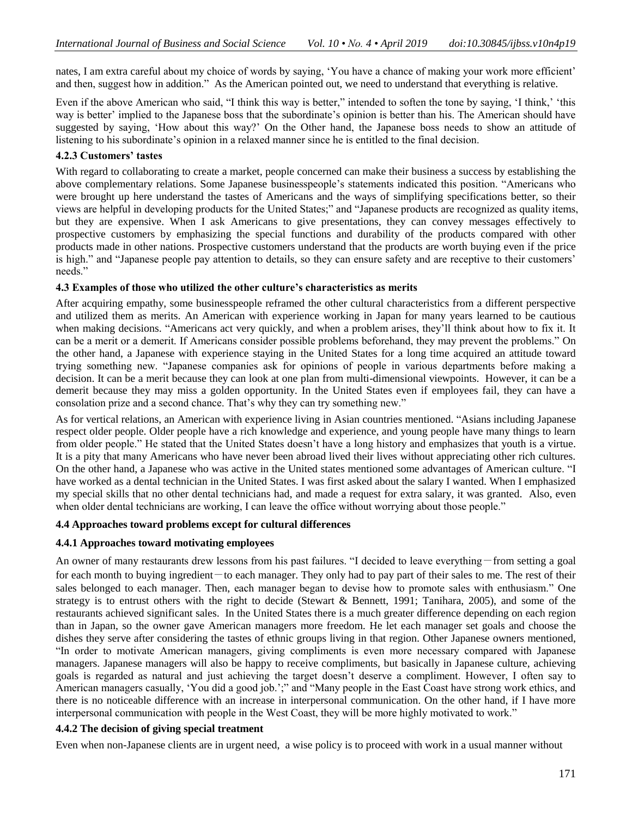nates, I am extra careful about my choice of words by saying, 'You have a chance of making your work more efficient' and then, suggest how in addition." As the American pointed out, we need to understand that everything is relative.

Even if the above American who said, "I think this way is better," intended to soften the tone by saying, 'I think,' 'this way is better' implied to the Japanese boss that the subordinate's opinion is better than his. The American should have suggested by saying, 'How about this way?' On the Other hand, the Japanese boss needs to show an attitude of listening to his subordinate's opinion in a relaxed manner since he is entitled to the final decision.

## **4.2.3 Customers' tastes**

With regard to collaborating to create a market, people concerned can make their business a success by establishing the above complementary relations. Some Japanese businesspeople's statements indicated this position. "Americans who were brought up here understand the tastes of Americans and the ways of simplifying specifications better, so their views are helpful in developing products for the United States;" and "Japanese products are recognized as quality items, but they are expensive. When I ask Americans to give presentations, they can convey messages effectively to prospective customers by emphasizing the special functions and durability of the products compared with other products made in other nations. Prospective customers understand that the products are worth buying even if the price is high." and "Japanese people pay attention to details, so they can ensure safety and are receptive to their customers' needs."

## **4.3 Examples of those who utilized the other culture's characteristics as merits**

After acquiring empathy, some businesspeople reframed the other cultural characteristics from a different perspective and utilized them as merits. An American with experience working in Japan for many years learned to be cautious when making decisions. "Americans act very quickly, and when a problem arises, they'll think about how to fix it. It can be a merit or a demerit. If Americans consider possible problems beforehand, they may prevent the problems." On the other hand, a Japanese with experience staying in the United States for a long time acquired an attitude toward trying something new. "Japanese companies ask for opinions of people in various departments before making a decision. It can be a merit because they can look at one plan from multi-dimensional viewpoints. However, it can be a demerit because they may miss a golden opportunity. In the United States even if employees fail, they can have a consolation prize and a second chance. That's why they can try something new."

As for vertical relations, an American with experience living in Asian countries mentioned. "Asians including Japanese respect older people. Older people have a rich knowledge and experience, and young people have many things to learn from older people." He stated that the United States doesn't have a long history and emphasizes that youth is a virtue. It is a pity that many Americans who have never been abroad lived their lives without appreciating other rich cultures. On the other hand, a Japanese who was active in the United states mentioned some advantages of American culture. "I have worked as a dental technician in the United States. I was first asked about the salary I wanted. When I emphasized my special skills that no other dental technicians had, and made a request for extra salary, it was granted. Also, even when older dental technicians are working, I can leave the office without worrying about those people."

# **4.4 Approaches toward problems except for cultural differences**

# **4.4.1 Approaches toward motivating employees**

An owner of many restaurants drew lessons from his past failures. "I decided to leave everything—from setting a goal for each month to buying ingredient-to each manager. They only had to pay part of their sales to me. The rest of their sales belonged to each manager. Then, each manager began to devise how to promote sales with enthusiasm." One strategy is to entrust others with the right to decide (Stewart & Bennett, 1991; Tanihara, 2005), and some of the restaurants achieved significant sales. In the United States there is a much greater difference depending on each region than in Japan, so the owner gave American managers more freedom. He let each manager set goals and choose the dishes they serve after considering the tastes of ethnic groups living in that region. Other Japanese owners mentioned, "In order to motivate American managers, giving compliments is even more necessary compared with Japanese managers. Japanese managers will also be happy to receive compliments, but basically in Japanese culture, achieving goals is regarded as natural and just achieving the target doesn't deserve a compliment. However, I often say to American managers casually, 'You did a good job.';" and "Many people in the East Coast have strong work ethics, and there is no noticeable difference with an increase in interpersonal communication. On the other hand, if I have more interpersonal communication with people in the West Coast, they will be more highly motivated to work."

#### **4.4.2 The decision of giving special treatment**

Even when non-Japanese clients are in urgent need, a wise policy is to proceed with work in a usual manner without